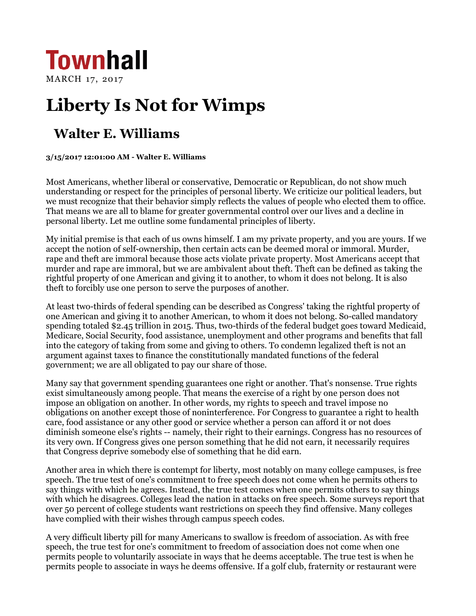

## **Liberty Is Not for Wimps**

## **Walter E. Williams**

## **3/15/2017 12:01:00 AM - Walter E. Williams**

Most Americans, whether liberal or conservative, Democratic or Republican, do not show much understanding or respect for the principles of personal liberty. We criticize our political leaders, but we must recognize that their behavior simply reflects the values of people who elected them to office. That means we are all to blame for greater governmental control over our lives and a decline in personal liberty. Let me outline some fundamental principles of liberty.

My initial premise is that each of us owns himself. I am my private property, and you are yours. If we accept the notion of self-ownership, then certain acts can be deemed moral or immoral. Murder, rape and theft are immoral because those acts violate private property. Most Americans accept that murder and rape are immoral, but we are ambivalent about theft. Theft can be defined as taking the rightful property of one American and giving it to another, to whom it does not belong. It is also theft to forcibly use one person to serve the purposes of another.

At least two-thirds of federal spending can be described as Congress' taking the rightful property of one American and giving it to another American, to whom it does not belong. So-called mandatory spending totaled \$2.45 trillion in 2015. Thus, two-thirds of the federal budget goes toward Medicaid, Medicare, Social Security, food assistance, unemployment and other programs and benefits that fall into the category of taking from some and giving to others. To condemn legalized theft is not an argument against taxes to finance the constitutionally mandated functions of the federal government; we are all obligated to pay our share of those.

Many say that government spending guarantees one right or another. That's nonsense. True rights exist simultaneously among people. That means the exercise of a right by one person does not impose an obligation on another. In other words, my rights to speech and travel impose no obligations on another except those of noninterference. For Congress to guarantee a right to health care, food assistance or any other good or service whether a person can afford it or not does diminish someone else's rights -- namely, their right to their earnings. Congress has no resources of its very own. If Congress gives one person something that he did not earn, it necessarily requires that Congress deprive somebody else of something that he did earn.

Another area in which there is contempt for liberty, most notably on many college campuses, is free speech. The true test of one's commitment to free speech does not come when he permits others to say things with which he agrees. Instead, the true test comes when one permits others to say things with which he disagrees. Colleges lead the nation in attacks on free speech. Some surveys report that over 50 percent of college students want restrictions on speech they find offensive. Many colleges have complied with their wishes through campus speech codes.

A very difficult liberty pill for many Americans to swallow is freedom of association. As with free speech, the true test for one's commitment to freedom of association does not come when one permits people to voluntarily associate in ways that he deems acceptable. The true test is when he permits people to associate in ways he deems offensive. If a golf club, fraternity or restaurant were